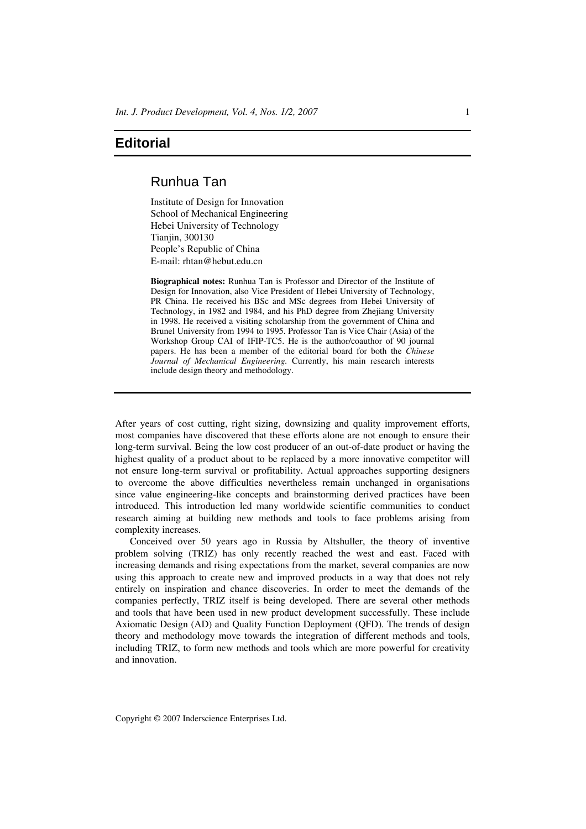## **Editorial**

## Runhua Tan

Institute of Design for Innovation School of Mechanical Engineering Hebei University of Technology Tianjin, 300130 People's Republic of China E-mail: rhtan@hebut.edu.cn

**Biographical notes:** Runhua Tan is Professor and Director of the Institute of Design for Innovation, also Vice President of Hebei University of Technology, PR China. He received his BSc and MSc degrees from Hebei University of Technology, in 1982 and 1984, and his PhD degree from Zhejiang University in 1998. He received a visiting scholarship from the government of China and Brunel University from 1994 to 1995. Professor Tan is Vice Chair (Asia) of the Workshop Group CAI of IFIP-TC5. He is the author/coauthor of 90 journal papers. He has been a member of the editorial board for both the *Chinese Journal of Mechanical Engineering.* Currently, his main research interests include design theory and methodology.

After years of cost cutting, right sizing, downsizing and quality improvement efforts, most companies have discovered that these efforts alone are not enough to ensure their long-term survival. Being the low cost producer of an out-of-date product or having the highest quality of a product about to be replaced by a more innovative competitor will not ensure long-term survival or profitability. Actual approaches supporting designers to overcome the above difficulties nevertheless remain unchanged in organisations since value engineering-like concepts and brainstorming derived practices have been introduced. This introduction led many worldwide scientific communities to conduct research aiming at building new methods and tools to face problems arising from complexity increases.

Conceived over 50 years ago in Russia by Altshuller, the theory of inventive problem solving (TRIZ) has only recently reached the west and east. Faced with increasing demands and rising expectations from the market, several companies are now using this approach to create new and improved products in a way that does not rely entirely on inspiration and chance discoveries. In order to meet the demands of the companies perfectly, TRIZ itself is being developed. There are several other methods and tools that have been used in new product development successfully. These include Axiomatic Design (AD) and Quality Function Deployment (QFD). The trends of design theory and methodology move towards the integration of different methods and tools, including TRIZ, to form new methods and tools which are more powerful for creativity and innovation.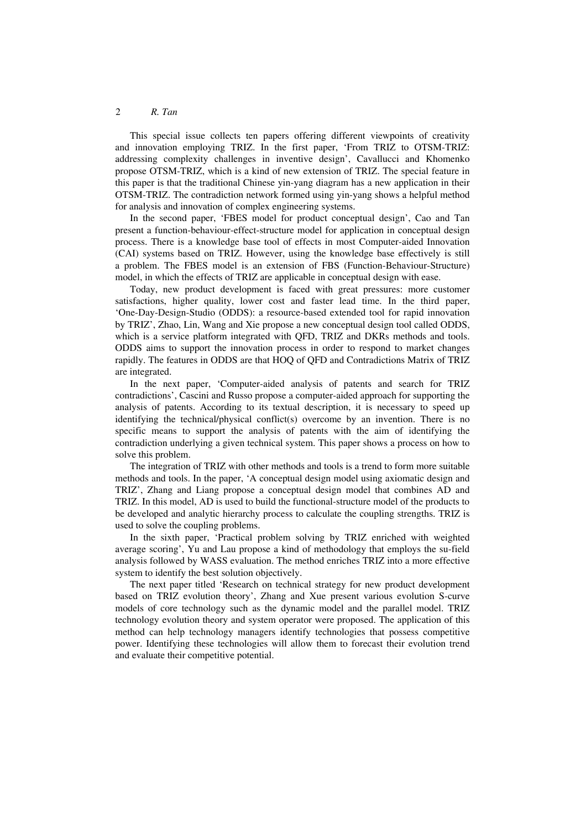## 2 *R. Tan*

This special issue collects ten papers offering different viewpoints of creativity and innovation employing TRIZ. In the first paper, 'From TRIZ to OTSM-TRIZ: addressing complexity challenges in inventive design', Cavallucci and Khomenko propose OTSM-TRIZ, which is a kind of new extension of TRIZ. The special feature in this paper is that the traditional Chinese yin-yang diagram has a new application in their OTSM-TRIZ. The contradiction network formed using yin-yang shows a helpful method for analysis and innovation of complex engineering systems.

In the second paper, 'FBES model for product conceptual design', Cao and Tan present a function-behaviour-effect-structure model for application in conceptual design process. There is a knowledge base tool of effects in most Computer-aided Innovation (CAI) systems based on TRIZ. However, using the knowledge base effectively is still a problem. The FBES model is an extension of FBS (Function-Behaviour-Structure) model, in which the effects of TRIZ are applicable in conceptual design with ease.

Today, new product development is faced with great pressures: more customer satisfactions, higher quality, lower cost and faster lead time. In the third paper, 'One-Day-Design-Studio (ODDS): a resource-based extended tool for rapid innovation by TRIZ', Zhao, Lin, Wang and Xie propose a new conceptual design tool called ODDS, which is a service platform integrated with QFD, TRIZ and DKRs methods and tools. ODDS aims to support the innovation process in order to respond to market changes rapidly. The features in ODDS are that HOQ of QFD and Contradictions Matrix of TRIZ are integrated.

In the next paper, 'Computer-aided analysis of patents and search for TRIZ contradictions', Cascini and Russo propose a computer-aided approach for supporting the analysis of patents. According to its textual description, it is necessary to speed up identifying the technical/physical conflict(s) overcome by an invention. There is no specific means to support the analysis of patents with the aim of identifying the contradiction underlying a given technical system. This paper shows a process on how to solve this problem.

The integration of TRIZ with other methods and tools is a trend to form more suitable methods and tools. In the paper, 'A conceptual design model using axiomatic design and TRIZ', Zhang and Liang propose a conceptual design model that combines AD and TRIZ. In this model, AD is used to build the functional-structure model of the products to be developed and analytic hierarchy process to calculate the coupling strengths. TRIZ is used to solve the coupling problems.

In the sixth paper, 'Practical problem solving by TRIZ enriched with weighted average scoring', Yu and Lau propose a kind of methodology that employs the su-field analysis followed by WASS evaluation. The method enriches TRIZ into a more effective system to identify the best solution objectively.

The next paper titled 'Research on technical strategy for new product development based on TRIZ evolution theory', Zhang and Xue present various evolution S-curve models of core technology such as the dynamic model and the parallel model. TRIZ technology evolution theory and system operator were proposed. The application of this method can help technology managers identify technologies that possess competitive power. Identifying these technologies will allow them to forecast their evolution trend and evaluate their competitive potential.